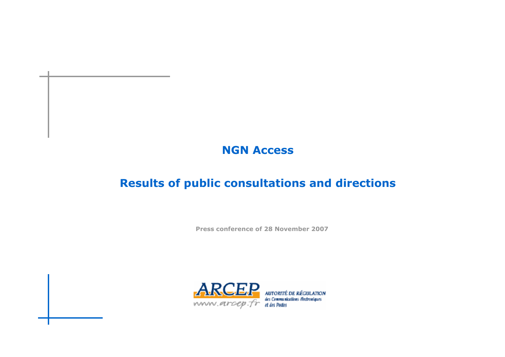#### **NGN Access**

#### **Results of public consultations and directions**

**Press conference of 28 November 2007**

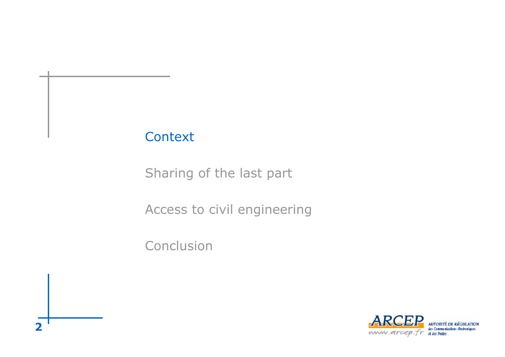Sharing of the last part

Access to civil engineering

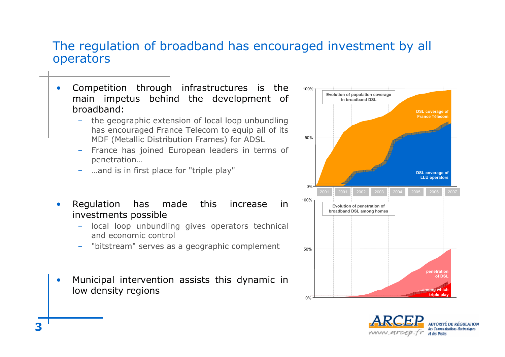#### The regulation of broadband has encouraged investment by all operators

- • Competition through infrastructures is the main impetus behind the development of broadband:
	- – the geographic extension of local loop unbundling has encouraged France Telecom to equip all of its MDF (Metallic Distribution Frames) for ADSL
	- France has joined European leaders in terms of penetration…
	- …and is in first place for "triple play"
- • Regulation has made this increase in investments possible
	- – local loop unbundling gives operators technical and economic control
	- –"bitstream" serves as a geographic complement
- • Municipal intervention assists this dynamic in low density regions



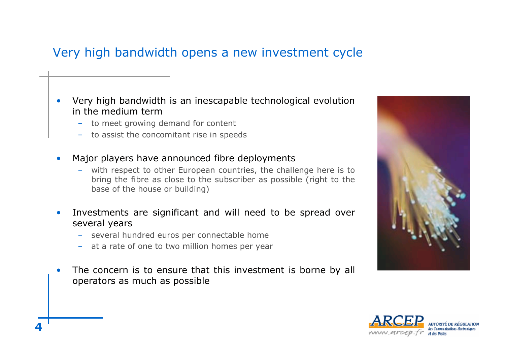## Very high bandwidth opens <sup>a</sup> new investment cycle

- • Very high bandwidth is an inescapable technological evolution in the medium term
	- to meet growing demand for content
	- to assist the concomitant rise in speeds
- • Major players have announced fibre deployments
	- with respect to other European countries, the challenge here is to bring the fibre as close to the subscriber as possible (right to the base of the house or building)
- • Investments are significant and will need to be spread over several years
	- several hundred euros per connectable home
	- at <sup>a</sup> rate of one to two million homes per year
- •• The concern is to ensure that this investment is borne by all operators as much as possible



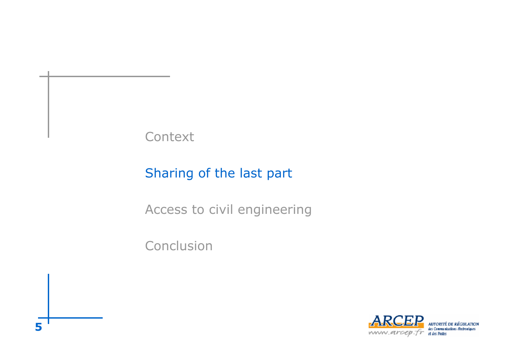# Sharing of the last part

Access to civil engineering

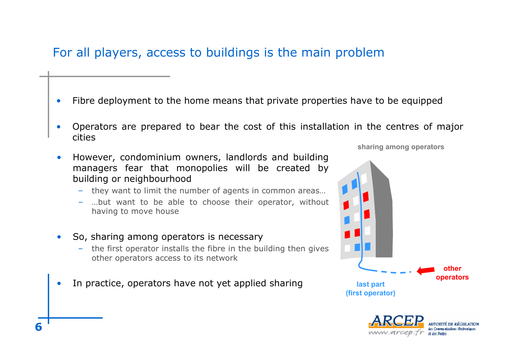## For all players, access to buildings is the main problem

- •Fibre deployment to the home means that private properties have to be equipped
- • Operators are prepared to bear the cost of this installation in the centres of major cities
- • However, condominium owners, landlords and building managers fear that monopolies will be created by building or neighbourhood
	- they want to limit the number of agents in common areas…
	- …but want to be able to choose their operator, without having to move house
- $\bullet$  So, sharing among operators is necessary
	- – the first operator installs the fibre in the building then gives other operators access to its network
- •• In practice, operators have not yet applied sharing

**sharing among operators**



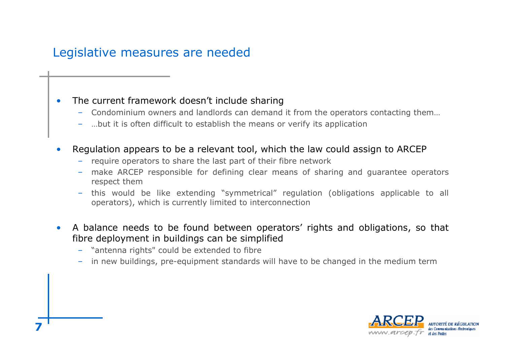## Legislative measures are needed

#### •The current framework doesn't include sharing

- Condominium owners and landlords can demand it from the operators contacting them…
- …but it is often difficult to establish the means or verify its application
- • Regulation appears to be <sup>a</sup> relevant tool, which the law could assign to ARCEP
	- require operators to share the last part of their fibre network
	- make ARCEP responsible for defining clear means of sharing and guarantee operators respect them
	- this would be like extending "symmetrical" regulation (obligations applicable to all operators), which is currently limited to interconnection
- • A balance needs to be found between operators' rights and obligations, so that fibre deployment in buildings can be simplified
	- "antenna rights" could be extended to fibre
	- in new buildings, pre-equipment standards will have to be changed in the medium term

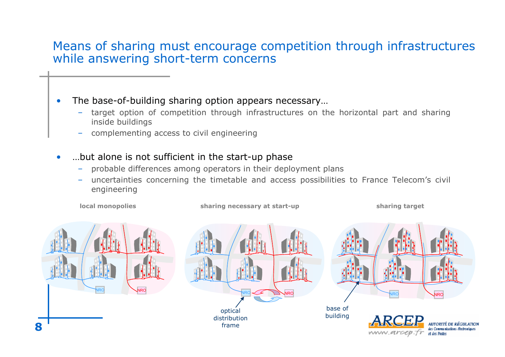#### Means of sharing must encourage competition through infrastructures while answering short-term concerns

•The base-of-building sharing option appears necessary…

- – target option of competition through infrastructures on the horizontal part and sharing inside buildings
- complementing access to civil engineering
- •…but alone is not sufficient in the start-up phase
	- –probable differences among operators in their deployment plans
	- – uncertainties concerning the timetable and access possibilities to France Telecom's civil engineering

**local**

**monopolies sharing target sharing necessary at start-up**

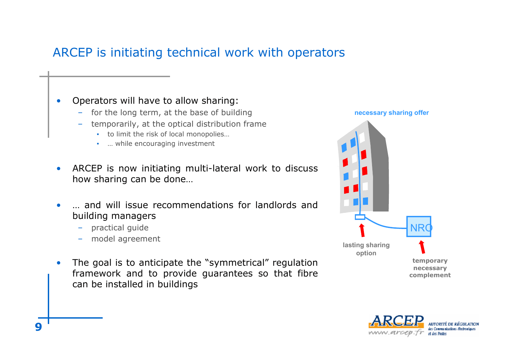## ARCEP is initiating technical work with operators

#### •Operators will have to allow sharing:

- for the long term, at the base of building
- temporarily, at the optical distribution frame
	- to limit the risk of local monopolies...
	- ... while encouraging investment
- • ARCEP is now initiating multi-lateral work to discuss how sharing can be done…
- •… and will issue recommendations for landlords and building managers
	- practical guide
	- model agreement
- • The goal is to anticipate the "symmetrical" regulation framework and to provide guarantees so that fibre can be installed in buildings



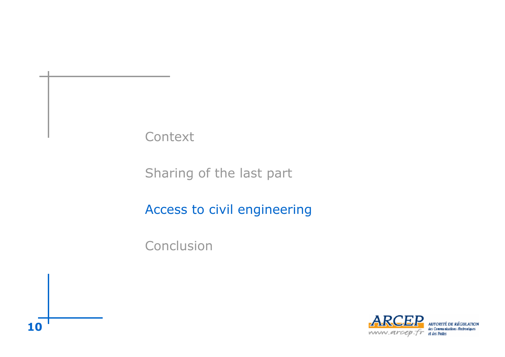Sharing of the last part

Access to civil engineering

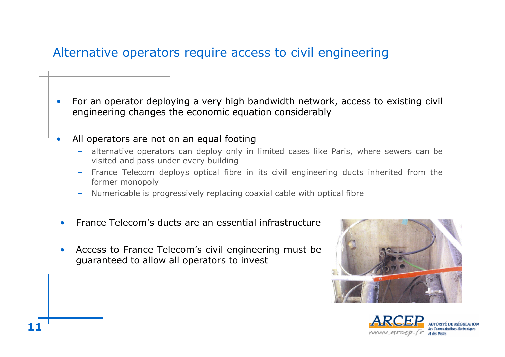## Alternative operators require access to civil engineering

- • For an operator deploying <sup>a</sup> very high bandwidth network, access to existing civil engineering changes the economic equation considerably
- • All operators are not on an equal footing
	- alternative operators can deploy only in limited cases like Paris, where sewers can be visited and pass under every building
	- France Telecom deploys optical fibre in its civil engineering ducts inherited from the former monopoly
	- Numericable is progressively replacing coaxial cable with optical fibre
- •• France Telecom's ducts are an essential infrastructure
- • Access to France Telecom's civil engineering must be guaranteed to allow all operators to invest



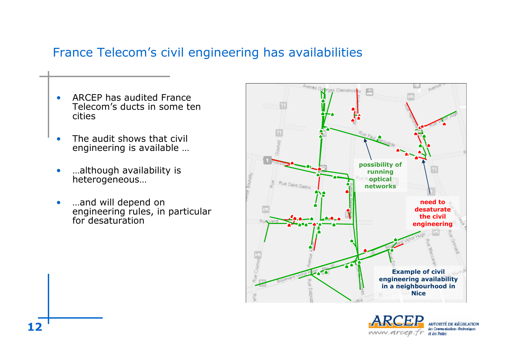### France Telecom's civil engineering has availabilities

- •**• ARCEP has audited France** Telecom's ducts in some ten cities
- •• The audit shows that civil engineering is available …
- •…although availability is heterogeneous…
- •…and will depend on engineering rules, in particular for desaturation



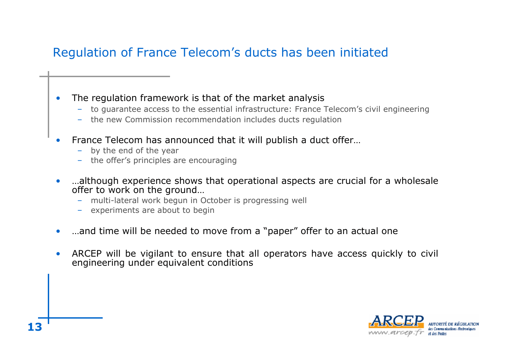## Regulation of France Telecom's ducts has been initiated

- • The regulation framework is that of the market analysis
	- to guarantee access to the essential infrastructure: France Telecom's civil engineering
	- the new Commission recommendation includes ducts regulation
- •• France Telecom has announced that it will publish a duct offer...
	- by the end of the year
	- the offer's principles are encouraging
- •…although experience shows that operational aspects are crucial for <sup>a</sup> wholesale offer to work on the ground…
	- multi-lateral work begun in October is progressing well
	- experiments are about to begin
- $\bullet$ …and time will be needed to move from <sup>a</sup> "paper" offer to an actual one
- • ARCEP will be vigilant to ensure that all operators have access quickly to civil engineering under equivalent conditions

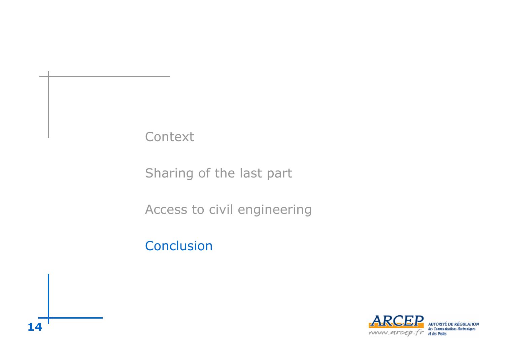Sharing of the last part

Access to civil engineering

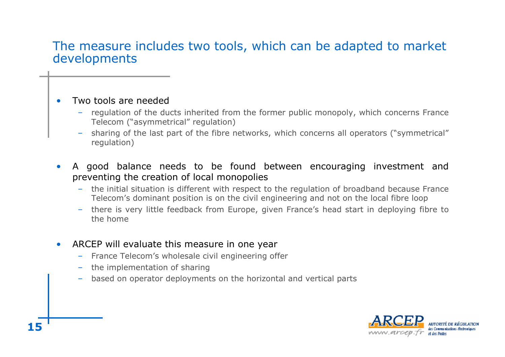#### The measure includes two tools, which can be adapted to market developments

- •• Two tools are needed
	- – regulation of the ducts inherited from the former public monopoly, which concerns France Telecom ("asymmetrical" regulation)
	- sharing of the last part of the fibre networks, which concerns all operators ("symmetrical" regulation)
- • A good balance needs to be found between encouraging investment and preventing the creation of local monopolies
	- the initial situation is different with respect to the regulation of broadband because France Telecom's dominant position is on the civil engineering and not on the local fibre loop
	- there is very little feedback from Europe, given France's head start in deploying fibre to the home
- • ARCEP will evaluate this measure in one year
	- France Telecom's wholesale civil engineering offer
	- the implementation of sharing
	- –based on operator deployments on the horizontal and vertical parts

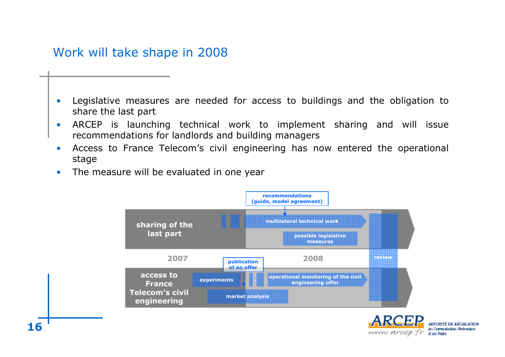#### Work will take shape in 2008

- • Legislative measures are needed for access to buildings and the obligation to share the last part
- • ARCEP is launching technical work to implement sharing and will issue recommendations for landlords and building managers
- • Access to France Telecom's civil engineering has now entered the operational stage
- •• The measure will be evaluated in one year



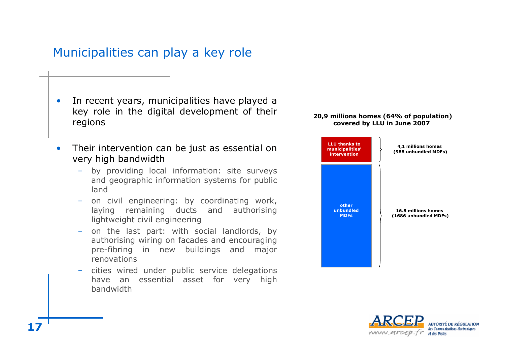### Municipalities can play <sup>a</sup> key role

- •• In recent years, municipalities have played a key role in the digital development of their regions
- • Their intervention can be just as essential on very high bandwidth
	- by providing local information: site surveys and geographic information systems for public land
	- – on civil engineering: by coordinating work, laying remaining ducts and authorising lightweight civil engineering
	- on the last part: with social landlords, by authorising wiring on facades and encouraging pre-fibring in new buildings and major renovations
	- cities wired under public service delegations have an essential asset for very high bandwidth

#### **20,9 millions homes (64% of population) covered by LLU in June 2007**